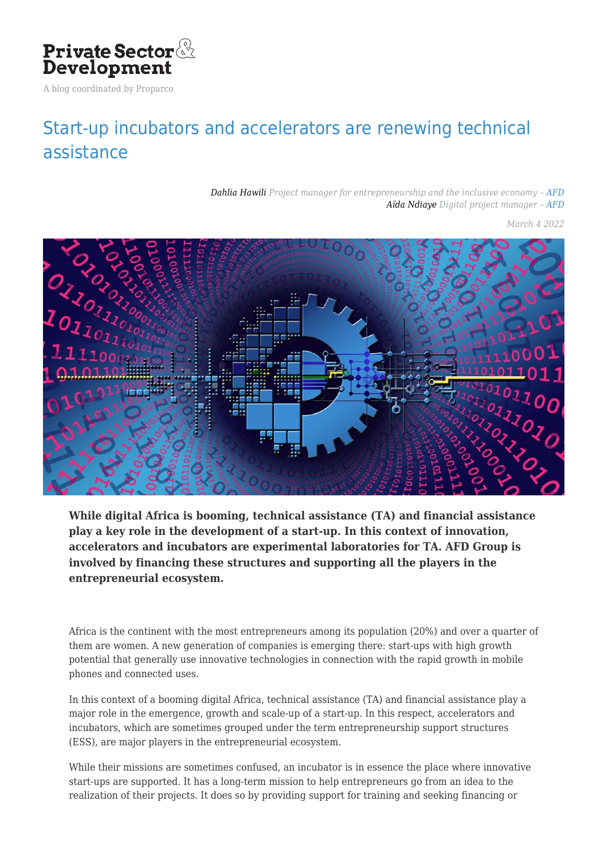

A blog coordinated by Proparco

## [Start-up incubators and accelerators are renewing technical](https://blog.private-sector-and-development.com/2022/03/04/francais-les-incubateurs-et-accelerateurs-de-start-up-renouvellent-laccompagnement-technique/) [assistance](https://blog.private-sector-and-development.com/2022/03/04/francais-les-incubateurs-et-accelerateurs-de-start-up-renouvellent-laccompagnement-technique/)

*[Dahlia Hawili](https://blog.private-sector-and-development.com/author/dahlia-hawili/) Project manager for entrepreneurship and the inclusive economy – [AFD](https://blog.private-sector-and-development.com/institution/afd/) [Aïda Ndiaye](https://blog.private-sector-and-development.com/author/aida-ndiaye/) Digital project manager – [AFD](https://blog.private-sector-and-development.com/institution/afd/)*

*March 4 2022*



**While digital Africa is booming, technical assistance (TA) and financial assistance play a key role in the development of a start-up. In this context of innovation, accelerators and incubators are experimental laboratories for TA. AFD Group is involved by financing these structures and supporting all the players in the entrepreneurial ecosystem.**

Africa is the continent with the most entrepreneurs among its population (20%) and over a quarter of them are women. A new generation of companies is emerging there: start-ups with high growth potential that generally use innovative technologies in connection with the rapid growth in mobile phones and connected uses.

In this context of a booming digital Africa, technical assistance (TA) and financial assistance play a major role in the emergence, growth and scale-up of a start-up. In this respect, accelerators and incubators, which are sometimes grouped under the term entrepreneurship support structures (ESS), are major players in the entrepreneurial ecosystem.

While their missions are sometimes confused, an incubator is in essence the place where innovative start-ups are supported. It has a long-term mission to help entrepreneurs go from an idea to the realization of their projects. It does so by providing support for training and seeking financing or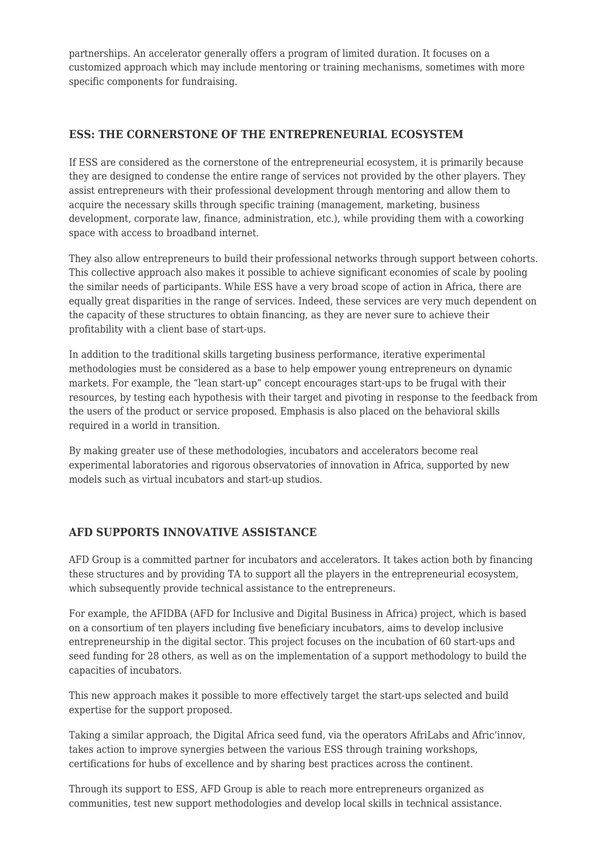partnerships. An accelerator generally offers a program of limited duration. It focuses on a customized approach which may include mentoring or training mechanisms, sometimes with more specific components for fundraising.

## **ESS: THE CORNERSTONE OF THE ENTREPRENEURIAL ECOSYSTEM**

If ESS are considered as the cornerstone of the entrepreneurial ecosystem, it is primarily because they are designed to condense the entire range of services not provided by the other players. They assist entrepreneurs with their professional development through mentoring and allow them to acquire the necessary skills through specific training (management, marketing, business development, corporate law, finance, administration, etc.), while providing them with a coworking space with access to broadband internet.

They also allow entrepreneurs to build their professional networks through support between cohorts. This collective approach also makes it possible to achieve significant economies of scale by pooling the similar needs of participants. While ESS have a very broad scope of action in Africa, there are equally great disparities in the range of services. Indeed, these services are very much dependent on the capacity of these structures to obtain financing, as they are never sure to achieve their profitability with a client base of start-ups.

In addition to the traditional skills targeting business performance, iterative experimental methodologies must be considered as a base to help empower young entrepreneurs on dynamic markets. For example, the "lean start-up" concept encourages start-ups to be frugal with their resources, by testing each hypothesis with their target and pivoting in response to the feedback from the users of the product or service proposed. Emphasis is also placed on the behavioral skills required in a world in transition.

By making greater use of these methodologies, incubators and accelerators become real experimental laboratories and rigorous observatories of innovation in Africa, supported by new models such as virtual incubators and start-up studios.

## **AFD SUPPORTS INNOVATIVE ASSISTANCE**

AFD Group is a committed partner for incubators and accelerators. It takes action both by financing these structures and by providing TA to support all the players in the entrepreneurial ecosystem, which subsequently provide technical assistance to the entrepreneurs.

For example, the AFIDBA (AFD for Inclusive and Digital Business in Africa) project, which is based on a consortium of ten players including five beneficiary incubators, aims to develop inclusive entrepreneurship in the digital sector. This project focuses on the incubation of 60 start-ups and seed funding for 28 others, as well as on the implementation of a support methodology to build the capacities of incubators.

This new approach makes it possible to more effectively target the start-ups selected and build expertise for the support proposed.

Taking a similar approach, the Digital Africa seed fund, via the operators AfriLabs and Afric'innov, takes action to improve synergies between the various ESS through training workshops, certifications for hubs of excellence and by sharing best practices across the continent.

Through its support to ESS, AFD Group is able to reach more entrepreneurs organized as communities, test new support methodologies and develop local skills in technical assistance.